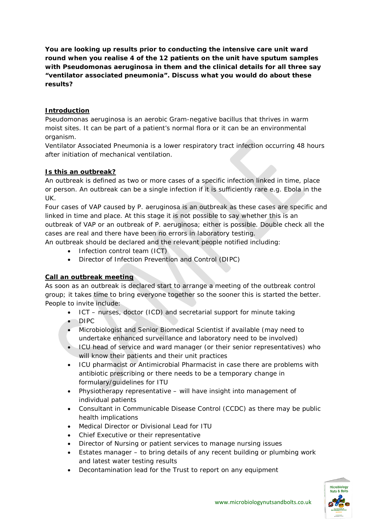**You are looking up results prior to conducting the intensive care unit ward round when you realise 4 of the 12 patients on the unit have sputum samples with Pseudomonas aeruginosa in them and the clinical details for all three say "ventilator associated pneumonia". Discuss what you would do about these results?**

# **Introduction**

Pseudomonas aeruginosa is an aerobic Gram-negative bacillus that thrives in warm moist sites. It can be part of a patient's normal flora or it can be an environmental organism.

Ventilator Associated Pneumonia is a lower respiratory tract infection occurring 48 hours after initiation of mechanical ventilation.

# **Is this an outbreak?**

An outbreak is defined as two or more cases of a specific infection linked in time, place or person. An outbreak can be a single infection if it is sufficiently rare e.g. Ebola in the UK.

Four cases of VAP caused by P. aeruginosa is an outbreak as these cases are specific and linked in time and place. At this stage it is not possible to say whether this is an outbreak of VAP or an outbreak of P. aeruginosa; either is possible. Double check all the cases are real and there have been no errors in laboratory testing.

- An outbreak should be declared and the relevant people notified including:
	- Infection control team (ICT)
	- Director of Infection Prevention and Control (DIPC)

## **Call an outbreak meeting**

As soon as an outbreak is declared start to arrange a meeting of the outbreak control group; it takes time to bring everyone together so the sooner this is started the better. People to invite include:

- ICT nurses, doctor (ICD) and secretarial support for minute taking
- DIPC
- Microbiologist and Senior Biomedical Scientist if available (may need to undertake enhanced surveillance and laboratory need to be involved)
- ICU head of service and ward manager (or their senior representatives) who will know their patients and their unit practices
- ICU pharmacist or Antimicrobial Pharmacist in case there are problems with antibiotic prescribing or there needs to be a temporary change in formulary/guidelines for ITU
- Physiotherapy representative will have insight into management of individual patients
- Consultant in Communicable Disease Control (CCDC) as there may be public health implications
- Medical Director or Divisional Lead for ITU
- Chief Executive or their representative
- Director of Nursing or patient services to manage nursing issues
- Estates manager to bring details of any recent building or plumbing work and latest water testing results
- Decontamination lead for the Trust to report on any equipment

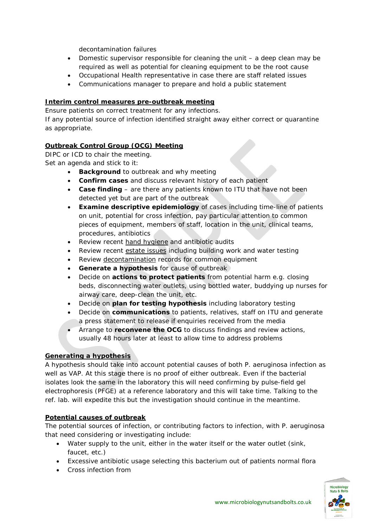decontamination failures

- Domestic supervisor responsible for cleaning the unit  $-$  a deep clean may be required as well as potential for cleaning equipment to be the root cause
- Occupational Health representative in case there are staff related issues
- Communications manager to prepare and hold a public statement

#### **Interim control measures pre-outbreak meeting**

Ensure patients on correct treatment for any infections.

If any potential source of infection identified straight away either correct or quarantine as appropriate.

## **Outbreak Control Group (OCG) Meeting**

DIPC or ICD to chair the meeting. Set an agenda and stick to it:

- **Background** to outbreak and why meeting
- **Confirm cases** and discuss relevant history of each patient
- **Case finding** are there any patients known to ITU that have not been detected yet but are part of the outbreak
- **Examine descriptive epidemiology** of cases including time-line of patients on unit, potential for cross infection, pay particular attention to common pieces of equipment, members of staff, location in the unit, clinical teams, procedures, antibiotics
- Review recent hand hygiene and antibiotic audits
- Review recent estate issues including building work and water testing
- Review decontamination records for common equipment
- **Generate a hypothesis** for cause of outbreak
- Decide on **actions to protect patients** from potential harm e.g. closing beds, disconnecting water outlets, using bottled water, buddying up nurses for airway care, deep-clean the unit, etc.
- Decide on **plan for testing hypothesis** including laboratory testing
- Decide on **communications** to patients, relatives, staff on ITU and generate a press statement to release if enquiries received from the media
- Arrange to **reconvene the OCG** to discuss findings and review actions, usually 48 hours later at least to allow time to address problems

#### **Generating a hypothesis**

A hypothesis should take into account potential causes of both P. aeruginosa infection as well as VAP. At this stage there is no proof of either outbreak. Even if the bacterial isolates look the same in the laboratory this will need confirming by pulse-field gel electrophoresis (PFGE) at a reference laboratory and this will take time. Talking to the ref. lab. will expedite this but the investigation should continue in the meantime.

#### **Potential causes of outbreak**

The potential sources of infection, or contributing factors to infection, with P. aeruginosa that need considering or investigating include:

- Water supply to the unit, either in the water itself or the water outlet (sink, faucet, etc.)
- Excessive antibiotic usage selecting this bacterium out of patients normal flora
- Cross infection from

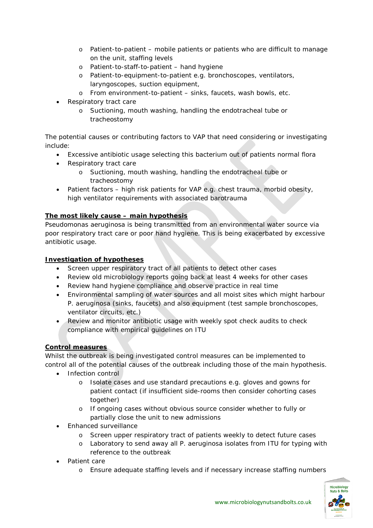- o Patient-to-patient mobile patients or patients who are difficult to manage on the unit, staffing levels
- o Patient-to-staff-to-patient hand hygiene
- o Patient-to-equipment-to-patient e.g. bronchoscopes, ventilators, laryngoscopes, suction equipment,
- o From environment-to-patient sinks, faucets, wash bowls, etc.
- Respiratory tract care
	- o Suctioning, mouth washing, handling the endotracheal tube or tracheostomy

The potential causes or contributing factors to VAP that need considering or investigating include:

- Excessive antibiotic usage selecting this bacterium out of patients normal flora
- Respiratory tract care
	- o Suctioning, mouth washing, handling the endotracheal tube or tracheostomy
- Patient factors high risk patients for VAP e.g. chest trauma, morbid obesity, high ventilator requirements with associated barotrauma

## **The most likely cause – main hypothesis**

Pseudomonas aeruginosa is being transmitted from an environmental water source via poor respiratory tract care or poor hand hygiene. This is being exacerbated by excessive antibiotic usage.

## **Investigation of hypotheses**

- Screen upper respiratory tract of all patients to detect other cases
- Review old microbiology reports going back at least 4 weeks for other cases
- Review hand hygiene compliance and observe practice in real time
- Environmental sampling of water sources and all moist sites which might harbour P. aeruginosa (sinks, faucets) and also equipment (test sample bronchoscopes, ventilator circuits, etc.)
- Review and monitor antibiotic usage with weekly spot check audits to check compliance with empirical guidelines on ITU

## **Control measures**

Whilst the outbreak is being investigated control measures can be implemented to control all of the potential causes of the outbreak including those of the main hypothesis.

- Infection control
	- o Isolate cases and use standard precautions e.g. gloves and gowns for patient contact (if insufficient side-rooms then consider cohorting cases together)
	- o If ongoing cases without obvious source consider whether to fully or partially close the unit to new admissions
- Enhanced surveillance
	- o Screen upper respiratory tract of patients weekly to detect future cases
	- o Laboratory to send away all P. aeruginosa isolates from ITU for typing with reference to the outbreak
- Patient care
	- o Ensure adequate staffing levels and if necessary increase staffing numbers